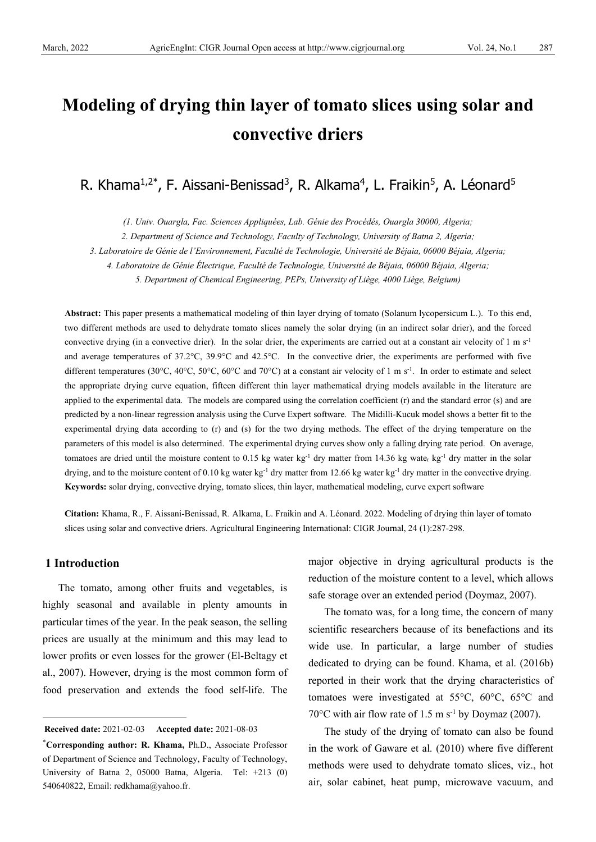# **Modeling of drying thin layer of tomato slices using solar and convective driers**

R. Khama<sup>1,2\*</sup>, F. Aissani-Benissad<sup>3</sup>, R. Alkama<sup>4</sup>, L. Fraikin<sup>5</sup>, A. Léonard<sup>5</sup>

*(1. Univ. Ouargla, Fac. Sciences Appliquées, Lab. Génie des Procédés, Ouargla 30000, Algeria;*

*2. Department of Science and Technology, Faculty of Technology, University of Batna 2, Algeria;*

*3. Laboratoire de Génie de l'Environnement, Faculté de Technologie, Université de Béjaia, 06000 Béjaia, Algeria;* 

*4. Laboratoire de Génie Électrique, Faculté de Technologie, Université de Béjaia, 06000 Béjaia, Algeria;*

*5. Department of Chemical Engineering, PEPs, University of Liège, 4000 Liège, Belgium)*

**Abstract:** This paper presents a mathematical modeling of thin layer drying of tomato (Solanum lycopersicum L.). To this end, two different methods are used to dehydrate tomato slices namely the solar drying (in an indirect solar drier), and the forced convective drying (in a convective drier). In the solar drier, the experiments are carried out at a constant air velocity of  $1 \text{ m s}^{-1}$ and average temperatures of 37.2°C, 39.9°C and 42.5°C. In the convective drier, the experiments are performed with five different temperatures (30°C, 40°C, 50°C, 60°C and 70°C) at a constant air velocity of 1 m s<sup>-1</sup>. In order to estimate and select the appropriate drying curve equation, fifteen different thin layer mathematical drying models available in the literature are applied to the experimental data. The models are compared using the correlation coefficient (r) and the standard error (s) and are predicted by a non-linear regression analysis using the Curve Expert software. The Midilli-Kucuk model shows a better fit to the experimental drying data according to (r) and (s) for the two drying methods. The effect of the drying temperature on the parameters of this model is also determined. The experimental drying curves show only a falling drying rate period. On average, tomatoes are dried until the moisture content to 0.15 kg water kg<sup>-1</sup> dry matter from 14.36 kg wate<sub>r</sub> kg<sup>-1</sup> dry matter in the solar drying, and to the moisture content of 0.10 kg water kg<sup>-1</sup> dry matter from 12.66 kg water kg<sup>-1</sup> dry matter in the convective drying. **Keywords:** solar drying, convective drying, tomato slices, thin layer, mathematical modeling, curve expert software

**Citation:** Khama, R., F. Aissani-Benissad, R. Alkama, L. Fraikin and A. Léonard. 2022. Modeling of drying thin layer of tomato slices using solar and convective driers. Agricultural Engineering International: CIGR Journal, 24 (1):287-298.

## **1 Introduction**

The tomato, among other fruits and vegetables, is highly seasonal and available in plenty amounts in particular times of the year. In the peak season, the selling prices are usually at the minimum and this may lead to lower profits or even losses for the grower (El-Beltagy et al., 2007). However, drying is the most common form of food preservation and extends the food self-life. The

major objective in drying agricultural products is the reduction of the moisture content to a level, which allows safe storage over an extended period (Doymaz, 2007).

The tomato was, for a long time, the concern of many scientific researchers because of its benefactions and its wide use. In particular, a large number of studies dedicated to drying can be found. Khama, et al. (2016b) reported in their work that the drying characteristics of tomatoes were investigated at 55°C, 60°C, 65°C and 70 $\rm ^{o}$ C with air flow rate of 1.5 m s<sup>-1</sup> by Doymaz (2007).

The study of the drying of tomato can also be found in the work of Gaware et al. (2010) where five different methods were used to dehydrate tomato slices, viz., hot air, solar cabinet, heat pump, microwave vacuum, and

<span id="page-0-0"></span>**Received date:** 2021-02-03 **Accepted date:** 2021-08-03

<sup>\*</sup>**Corresponding author: R. Khama,** Ph.D., Associate Professor of Department of Science and Technology, Faculty of Technology, University of Batna 2, 05000 Batna, Algeria. Tel: +213 (0) 540640822, Email: redkhama@yahoo.fr.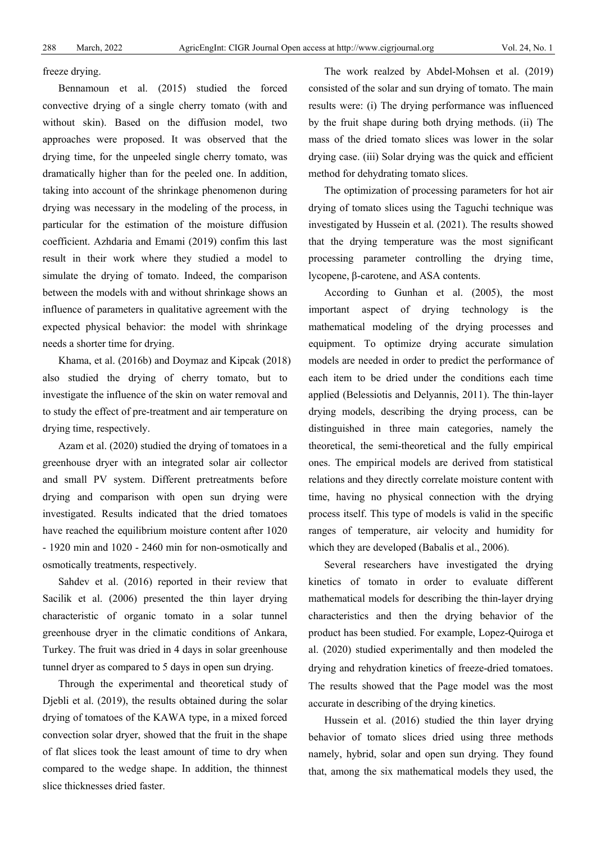freeze drying.

Bennamoun et al. (2015) studied the forced convective drying of a single cherry tomato (with and without skin). Based on the diffusion model, two approaches were proposed. It was observed that the drying time, for the unpeeled single cherry tomato, was dramatically higher than for the peeled one. In addition, taking into account of the shrinkage phenomenon during drying was necessary in the modeling of the process, in particular for the estimation of the moisture diffusion coefficient. Azhdaria and Emami (2019) confim this last result in their work where they studied a model to simulate the drying of tomato. Indeed, the comparison between the models with and without shrinkage shows an influence of parameters in qualitative agreement with the expected physical behavior: the model with shrinkage needs a shorter time for drying.

Khama, et al. (2016b) and Doymaz and Kipcak (2018) also studied the drying of cherry tomato, but to investigate the influence of the skin on water removal and to study the effect of pre-treatment and air temperature on drying time, respectively.

Azam et al. (2020) studied the drying of tomatoes in a greenhouse dryer with an integrated solar air collector and small PV system. Different pretreatments before drying and comparison with open sun drying were investigated. Results indicated that the dried tomatoes have reached the equilibrium moisture content after 1020 - 1920 min and 1020 - 2460 min for non-osmotically and osmotically treatments, respectively.

Sahdev et al. (2016) reported in their review that Sacilik et al. (2006) presented the thin layer drying characteristic of organic tomato in a solar tunnel greenhouse dryer in the climatic conditions of Ankara, Turkey. The fruit was dried in 4 days in solar greenhouse tunnel dryer as compared to 5 days in open sun drying.

Through the experimental and theoretical study of Djebli et al. (2019), the results obtained during the solar drying of tomatoes of the KAWA type, in a mixed forced convection solar dryer, showed that the fruit in the shape of flat slices took the least amount of time to dry when compared to the wedge shape. In addition, the thinnest slice thicknesses dried faster.

The work realzed by Abdel-Mohsen et al. (2019) consisted of the solar and sun drying of tomato. The main results were: (i) The drying performance was influenced by the fruit shape during both drying methods. (ii) The mass of the dried tomato slices was lower in the solar drying case. (iii) Solar drying was the quick and efficient method for dehydrating tomato slices.

The optimization of processing parameters for hot air drying of tomato slices using the Taguchi technique was investigated by Hussein et al. (2021). The results showed that the drying temperature was the most significant processing parameter controlling the drying time, lycopene, β-carotene, and ASA contents.

According to Gunhan et al. (2005), the most important aspect of drying technology is the mathematical modeling of the drying processes and equipment. To optimize drying accurate simulation models are needed in order to predict the performance of each item to be dried under the conditions each time applied (Belessiotis and Delyannis, 2011). The thin-layer drying models, describing the drying process, can be distinguished in three main categories, namely the theoretical, the semi-theoretical and the fully empirical ones. The empirical models are derived from statistical relations and they directly correlate moisture content with time, having no physical connection with the drying process itself. This type of models is valid in the specific ranges of temperature, air velocity and humidity for which they are developed (Babalis et al., 2006).

Several researchers have investigated the drying kinetics of tomato in order to evaluate different mathematical models for describing the thin-layer drying characteristics and then the drying behavior of the product has been studied. For example, Lopez-Quiroga et al. (2020) studied experimentally and then modeled the drying and rehydration kinetics of freeze-dried tomatoes. The results showed that the Page model was the most accurate in describing of the drying kinetics.

Hussein et al. (2016) studied the thin layer drying behavior of tomato slices dried using three methods namely, hybrid, solar and open sun drying. They found that, among the six mathematical models they used, the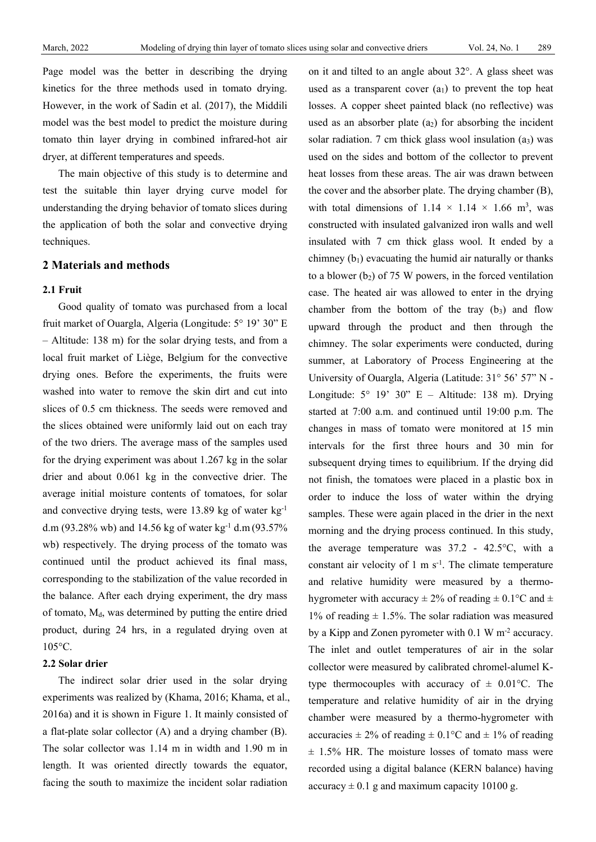Page model was the better in describing the drying kinetics for the three methods used in tomato drying. However, in the work of Sadin et al. (2017), the Middili model was the best model to predict the moisture during tomato thin layer drying in combined infrared-hot air dryer, at different temperatures and speeds.

The main objective of this study is to determine and test the suitable thin layer drying curve model for understanding the drying behavior of tomato slices during the application of both the solar and convective drying techniques.

#### **2 Materials and methods**

#### **2.1 Fruit**

Good quality of tomato was purchased from a local fruit market of Ouargla, Algeria (Longitude: 5° 19' 30" E – Altitude: 138 m) for the solar drying tests, and from a local fruit market of Liège, Belgium for the convective drying ones. Before the experiments, the fruits were washed into water to remove the skin dirt and cut into slices of 0.5 cm thickness. The seeds were removed and the slices obtained were uniformly laid out on each tray of the two driers. The average mass of the samples used for the drying experiment was about 1.267 kg in the solar drier and about 0.061 kg in the convective drier. The average initial moisture contents of tomatoes, for solar and convective drying tests, were 13.89 kg of water kg-1 d.m (93.28% wb) and 14.56 kg of water kg<sup>-1</sup> d.m (93.57%) wb) respectively. The drying process of the tomato was continued until the product achieved its final mass, corresponding to the stabilization of the value recorded in the balance. After each drying experiment, the dry mass of tomato, Md, was determined by putting the entire dried product, during 24 hrs, in a regulated drying oven at 105°C.

## **2.2 Solar drier**

The indirect solar drier used in the solar drying experiments was realized by (Khama, 2016; Khama, et al., 2016a) and it is shown in Figure 1. It mainly consisted of a flat-plate solar collector (A) and a drying chamber (B). The solar collector was 1.14 m in width and 1.90 m in length. It was oriented directly towards the equator, facing the south to maximize the incident solar radiation

on it and tilted to an angle about 32°. A glass sheet was used as a transparent cover  $(a_1)$  to prevent the top heat losses. A copper sheet painted black (no reflective) was used as an absorber plate  $(a_2)$  for absorbing the incident solar radiation. 7 cm thick glass wool insulation  $(a_3)$  was used on the sides and bottom of the collector to prevent heat losses from these areas. The air was drawn between the cover and the absorber plate. The drying chamber (B), with total dimensions of  $1.14 \times 1.14 \times 1.66$  m<sup>3</sup>, was constructed with insulated galvanized iron walls and well insulated with 7 cm thick glass wool. It ended by a chimney  $(b_1)$  evacuating the humid air naturally or thanks to a blower  $(b_2)$  of 75 W powers, in the forced ventilation case. The heated air was allowed to enter in the drying chamber from the bottom of the tray  $(b_3)$  and flow upward through the product and then through the chimney. The solar experiments were conducted, during summer, at Laboratory of Process Engineering at the University of Ouargla, Algeria (Latitude: 31° 56' 57" N - Longitude:  $5^{\circ}$  19' 30" E – Altitude: 138 m). Drying started at 7:00 a.m. and continued until 19:00 p.m. The changes in mass of tomato were monitored at 15 min intervals for the first three hours and 30 min for subsequent drying times to equilibrium. If the drying did not finish, the tomatoes were placed in a plastic box in order to induce the loss of water within the drying samples. These were again placed in the drier in the next morning and the drying process continued. In this study, the average temperature was 37.2 - 42.5°C, with a constant air velocity of  $1 \text{ m s}^{-1}$ . The climate temperature and relative humidity were measured by a thermohygrometer with accuracy  $\pm 2\%$  of reading  $\pm 0.1$ °C and  $\pm$ 1% of reading  $\pm$  1.5%. The solar radiation was measured by a Kipp and Zonen pyrometer with 0.1 W m<sup>-2</sup> accuracy. The inlet and outlet temperatures of air in the solar collector were measured by calibrated chromel-alumel Ktype thermocouples with accuracy of  $\pm$  0.01 °C. The temperature and relative humidity of air in the drying chamber were measured by a thermo-hygrometer with accuracies  $\pm 2\%$  of reading  $\pm 0.1$ °C and  $\pm 1\%$  of reading  $\pm$  1.5% HR. The moisture losses of tomato mass were recorded using a digital balance (KERN balance) having accuracy  $\pm 0.1$  g and maximum capacity 10100 g.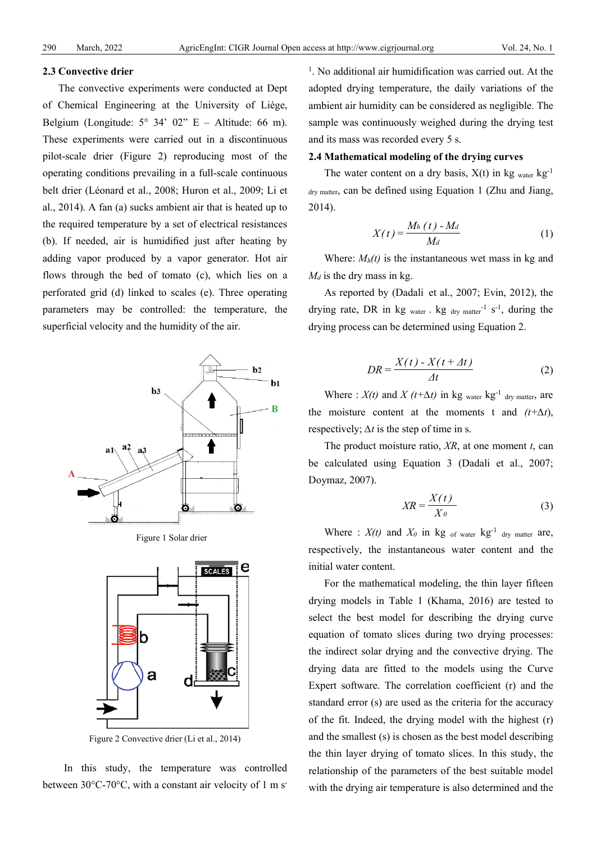#### **2.3 Convective drier**

The convective experiments were conducted at Dept of Chemical Engineering at the University of Liège, Belgium (Longitude:  $5^{\circ}$  34' 02" E – Altitude: 66 m). These experiments were carried out in a discontinuous pilot-scale drier (Figure 2) reproducing most of the operating conditions prevailing in a full-scale continuous belt drier (Léonard et al., 2008; Huron et al., 2009; Li et al., 2014). A fan (a) sucks ambient air that is heated up to the required temperature by a set of electrical resistances (b). If needed, air is humidified just after heating by adding vapor produced by a vapor generator. Hot air flows through the bed of tomato (c), which lies on a perforated grid (d) linked to scales (e). Three operating parameters may be controlled: the temperature, the superficial velocity and the humidity of the air.



Figure 1 Solar drier



Figure 2 Convective drier (Li et al., 2014)

In this study, the temperature was controlled between  $30^{\circ}$ C-70 $^{\circ}$ C, with a constant air velocity of 1 m s<sup>-</sup>

<sup>1</sup>. No additional air humidification was carried out. At the adopted drying temperature, the daily variations of the ambient air humidity can be considered as negligible. The sample was continuously weighed during the drying test and its mass was recorded every 5 s.

#### **2.4 Mathematical modeling of the drying curves**

The water content on a dry basis,  $X(t)$  in kg water kg<sup>-1</sup> dry matter, can be defined using Equation 1 (Zhu and Jiang, 2014).

$$
X(t) = \frac{M_h(t) - M_d}{M_d} \tag{1}
$$

Where:  $M_h(t)$  is the instantaneous wet mass in kg and  $M_d$  is the dry mass in kg.

As reported by (Dadali et al., 2007; Evin, 2012), the drying rate, DR in  $kg_{water}$ .  $kg_{dry matter}^{-1}$  s<sup>-1</sup>, during the drying process can be determined using Equation 2.

$$
DR = \frac{X(t) - X(t + \Delta t)}{\Delta t}
$$
 (2)

Where :  $X(t)$  and  $X(t+\Delta t)$  in kg water kg<sup>-1</sup> dry matter, are the moisture content at the moments t and  $(t+\Delta t)$ , respectively; *∆t* is the step of time in s.

The product moisture ratio, *XR*, at one moment *t*, can be calculated using Equation 3 (Dadali et al., 2007; Doymaz, 2007).

$$
XR = \frac{X(t)}{X_0}
$$
 (3)

Where :  $X(t)$  and  $X_0$  in kg of water kg<sup>-1</sup> dry matter are, respectively, the instantaneous water content and the initial water content.

For the mathematical modeling, the thin layer fifteen drying models in Table 1 (Khama, 2016) are tested to select the best model for describing the drying curve equation of tomato slices during two drying processes: the indirect solar drying and the convective drying. The drying data are fitted to the models using the Curve Expert software. The correlation coefficient (r) and the standard error (s) are used as the criteria for the accuracy of the fit. Indeed, the drying model with the highest (r) and the smallest (s) is chosen as the best model describing the thin layer drying of tomato slices. In this study, the relationship of the parameters of the best suitable model with the drying air temperature is also determined and the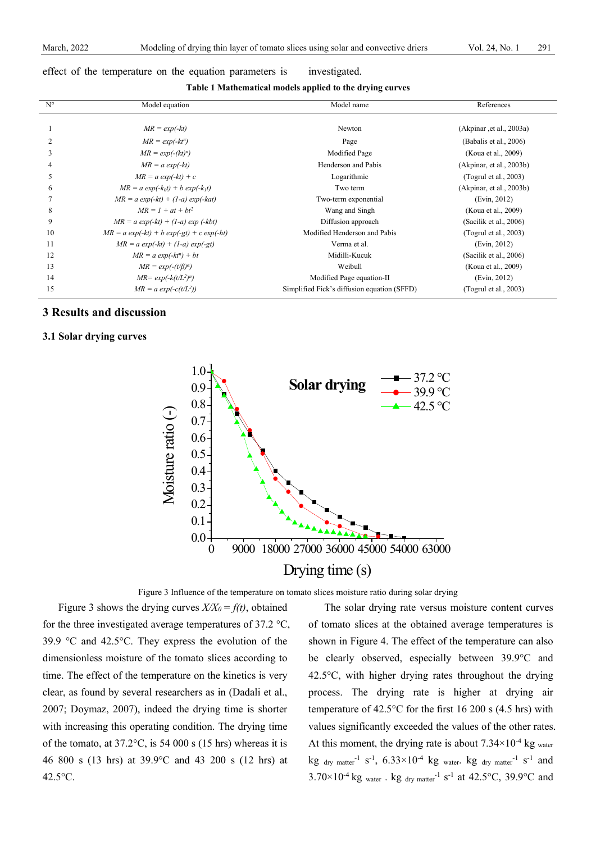#### effect of the temperature on the equation parameters is investigated.

**Table 1 Mathematical models applied to the drying curves**

| $N^{\circ}$ | Model equation                                 | Model name                                  | References               |
|-------------|------------------------------------------------|---------------------------------------------|--------------------------|
|             |                                                |                                             |                          |
|             | $MR = exp(-kt)$                                | Newton                                      | (Akpinar, et al., 2003a) |
|             | $MR = exp(-kt^n)$                              | Page                                        | (Babalis et al., 2006)   |
| 3           | $MR = exp(-(kt)^n)$                            | Modified Page                               | (Koua et al., 2009)      |
|             | $MR = a \exp(-kt)$                             | Henderson and Pabis                         | (Akpinar, et al., 2003b) |
| 5           | $MR = a \exp(-kt) + c$                         | Logarithmic                                 | (Togrul et al., 2003)    |
| 6           | $MR = a \exp(-k_0t) + b \exp(-k_1t)$           | Two term                                    | (Akpinar, et al., 2003b) |
|             | $MR = a \exp(-kt) + (1-a) \exp(-kat)$          | Two-term exponential                        | (Evin, 2012)             |
| 8           | $MR = 1 + at + bt^2$                           | Wang and Singh                              | (Koua et al., 2009)      |
| 9           | $MR = a \exp(-kt) + (1-a) \exp(-kt)$           | Diffusion approach                          | (Sacilik et al., 2006)   |
| 10          | $MR = a \exp(-kt) + b \exp(-gt) + c \exp(-ht)$ | Modified Henderson and Pabis                | (Togrul et al., 2003)    |
| 11          | $MR = a \exp(-kt) + (1-a) \exp(-gt)$           | Verma et al.                                | (Evin, 2012)             |
| 12          | $MR = a \exp(-kt^n) + bt$                      | Midilli-Kucuk                               | (Sacilik et al., 2006)   |
| 13          | $MR = exp(-(t/\beta)^{\alpha})$                | Weibull                                     | (Koua et al., 2009)      |
| 14          | $MR = exp(-k(t/L^2)^n)$                        | Modified Page equation-II                   | (Evin, 2012)             |
| 15          | $MR = a \exp(-c(t/L^2))$                       | Simplified Fick's diffusion equation (SFFD) | (Togrul et al., 2003)    |

## **3 Results and discussion**

## **3.1 Solar drying curves**



Figure 3 Influence of the temperature on tomato slices moisture ratio during solar drying

Figure 3 shows the drying curves  $X/X_0 = f(t)$ , obtained for the three investigated average temperatures of 37.2 °C, 39.9 °C and 42.5°C. They express the evolution of the dimensionless moisture of the tomato slices according to time. The effect of the temperature on the kinetics is very clear, as found by several researchers as in (Dadali et al., 2007; Doymaz, 2007), indeed the drying time is shorter with increasing this operating condition. The drying time of the tomato, at 37.2°C, is 54 000 s (15 hrs) whereas it is 46 800 s (13 hrs) at 39.9°C and 43 200 s (12 hrs) at 42.5°C.

The solar drying rate versus moisture content curves of tomato slices at the obtained average temperatures is shown in Figure 4. The effect of the temperature can also be clearly observed, especially between 39.9°C and 42.5°C, with higher drying rates throughout the drying process. The drying rate is higher at drying air temperature of 42.5°C for the first 16 200 s (4.5 hrs) with values significantly exceeded the values of the other rates. At this moment, the drying rate is about  $7.34 \times 10^{-4}$  kg water  $\text{kg}$  <sub>dry matter</sub><sup>-1</sup> s<sup>-1</sup>, 6.33×10<sup>-4</sup> kg <sub>water</sub>. kg <sub>dry matter</sub><sup>-1</sup> s<sup>-1</sup> and  $3.70\times10^{-4}$  kg water . kg dry matter<sup>-1</sup> s<sup>-1</sup> at 42.5°C, 39.9°C and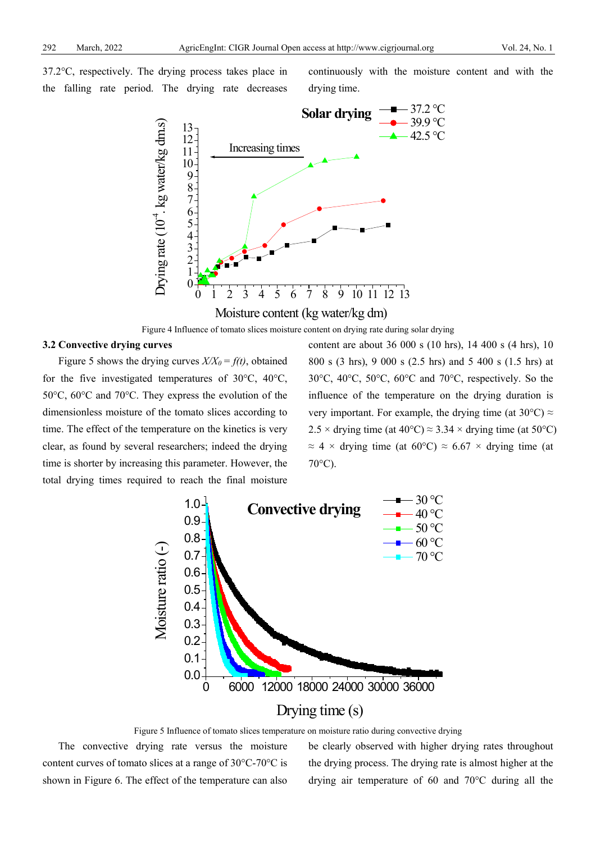37.2°C, respectively. The drying process takes place in the falling rate period. The drying rate decreases continuously with the moisture content and with the drying time.



Figure 4 Influence of tomato slices moisture content on drying rate during solar drying

#### **3.2 Convective drying curves**

Figure 5 shows the drying curves  $X/X_0 = f(t)$ , obtained for the five investigated temperatures of 30°C, 40°C, 50°C, 60°C and 70°C. They express the evolution of the dimensionless moisture of the tomato slices according to time. The effect of the temperature on the kinetics is very clear, as found by several researchers; indeed the drying time is shorter by increasing this parameter. However, the total drying times required to reach the final moisture content are about 36 000 s (10 hrs), 14 400 s (4 hrs), 10 800 s (3 hrs), 9 000 s (2.5 hrs) and 5 400 s (1.5 hrs) at 30°C, 40°C, 50°C, 60°C and 70°C, respectively. So the influence of the temperature on the drying duration is very important. For example, the drying time (at  $30^{\circ}$ C)  $\approx$ 2.5 × drying time (at 40°C)  $\approx$  3.34 × drying time (at 50°C)  $\approx$  4 × drying time (at 60°C)  $\approx$  6.67 × drying time (at 70°C).



Figure 5 Influence of tomato slices temperature on moisture ratio during convective drying

The convective drying rate versus the moisture content curves of tomato slices at a range of 30°C-70°C is shown in Figure 6. The effect of the temperature can also be clearly observed with higher drying rates throughout the drying process. The drying rate is almost higher at the drying air temperature of 60 and 70°C during all the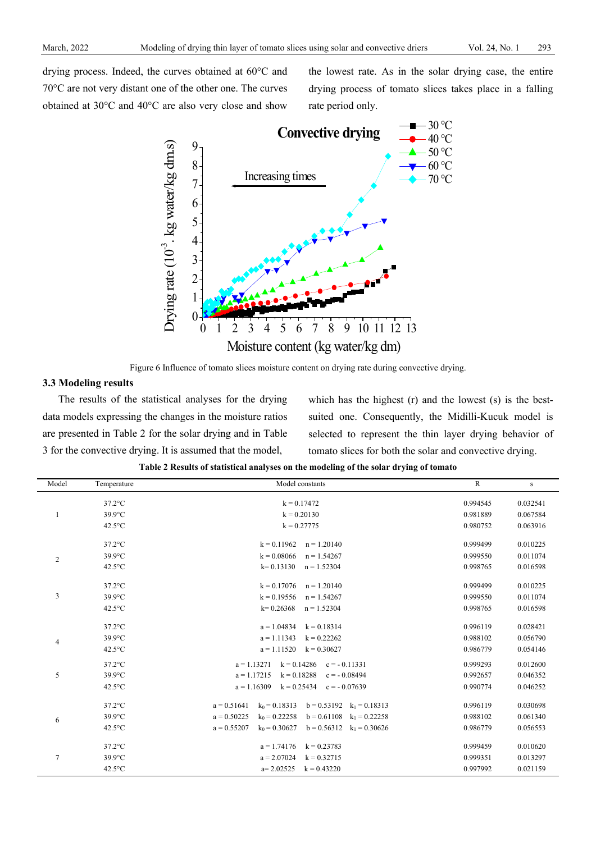drying process. Indeed, the curves obtained at 60°C and 70°C are not very distant one of the other one. The curves obtained at 30°C and 40°C are also very close and show the lowest rate. As in the solar drying case, the entire drying process of tomato slices takes place in a falling rate period only.



Figure 6 Influence of tomato slices moisture content on drying rate during convective drying.

## **3.3 Modeling results**

The results of the statistical analyses for the drying data models expressing the changes in the moisture ratios are presented in Table 2 for the solar drying and in Table 3 for the convective drying. It is assumed that the model,

which has the highest (r) and the lowest (s) is the bestsuited one. Consequently, the Midilli-Kucuk model is selected to represent the thin layer drying behavior of tomato slices for both the solar and convective drying.

|  |  | Table 2 Results of statistical analyses on the modeling of the solar drying of tomato |
|--|--|---------------------------------------------------------------------------------------|
|  |  |                                                                                       |

| Model          | Temperature      | Model constants                                                      | $\overline{R}$ | S        |
|----------------|------------------|----------------------------------------------------------------------|----------------|----------|
|                | $37.2$ °C        | $k = 0.17472$                                                        | 0.994545       | 0.032541 |
| 1              | 39.9°C           | $k = 0.20130$                                                        | 0.981889       | 0.067584 |
|                | $42.5^{\circ}$ C | $k = 0.27775$                                                        | 0.980752       | 0.063916 |
|                | $37.2$ °C        | $k = 0.11962$<br>$n = 1.20140$                                       | 0.999499       | 0.010225 |
| 2              | $39.9^{\circ}$ C | $k = 0.08066$<br>$n = 1.54267$                                       | 0.999550       | 0.011074 |
|                | $42.5^{\circ}$ C | $k = 0.13130$<br>$n = 1.52304$                                       | 0.998765       | 0.016598 |
|                | $37.2$ °C        | $k = 0.17076$<br>$n = 1.20140$                                       | 0.999499       | 0.010225 |
| $\mathfrak{Z}$ | $39.9^{\circ}$ C | $k = 0.19556$<br>$n = 1.54267$                                       | 0.999550       | 0.011074 |
|                | $42.5^{\circ}$ C | $k = 0.26368$<br>$n = 1.52304$                                       | 0.998765       | 0.016598 |
|                | $37.2$ °C        | $a = 1.04834$<br>$k = 0.18314$                                       | 0.996119       | 0.028421 |
| 4              | 39.9°C           | $a = 1.11343$<br>$k = 0.22262$                                       | 0.988102       | 0.056790 |
|                | $42.5^{\circ}$ C | $a = 1.11520$<br>$k = 0.30627$                                       | 0.986779       | 0.054146 |
|                | $37.2$ °C        | $a = 1.13271$<br>$k = 0.14286$<br>$c = -0.11331$                     | 0.999293       | 0.012600 |
| 5              | $39.9^{\circ}$ C | $a = 1.17215$<br>$k = 0.18288$<br>$c = -0.08494$                     | 0.992657       | 0.046352 |
|                | $42.5^{\circ}$ C | $a = 1.16309$<br>$k = 0.25434$<br>$c = -0.07639$                     | 0.990774       | 0.046252 |
|                | $37.2$ °C        | $a = 0.51641$<br>$k_0$ = 0.18313<br>$b = 0.53192$ $k_1 = 0.18313$    | 0.996119       | 0.030698 |
| 6              | $39.9^{\circ}$ C | $a = 0.50225$<br>$k_0$ = 0.22258<br>$b = 0.61108$<br>$k_1 = 0.22258$ | 0.988102       | 0.061340 |
|                | $42.5^{\circ}$ C | $a = 0.55207$<br>$k_0$ = 0.30627<br>$b = 0.56312$<br>$k_1 = 0.30626$ | 0.986779       | 0.056553 |
|                | $37.2$ °C        | $a = 1.74176$<br>$k = 0.23783$                                       | 0.999459       | 0.010620 |
| $\overline{7}$ | $39.9^{\circ}$ C | $a = 2.07024$<br>$k = 0.32715$                                       | 0.999351       | 0.013297 |
|                | $42.5^{\circ}$ C | $a=2.02525$<br>$k = 0.43220$                                         | 0.997992       | 0.021159 |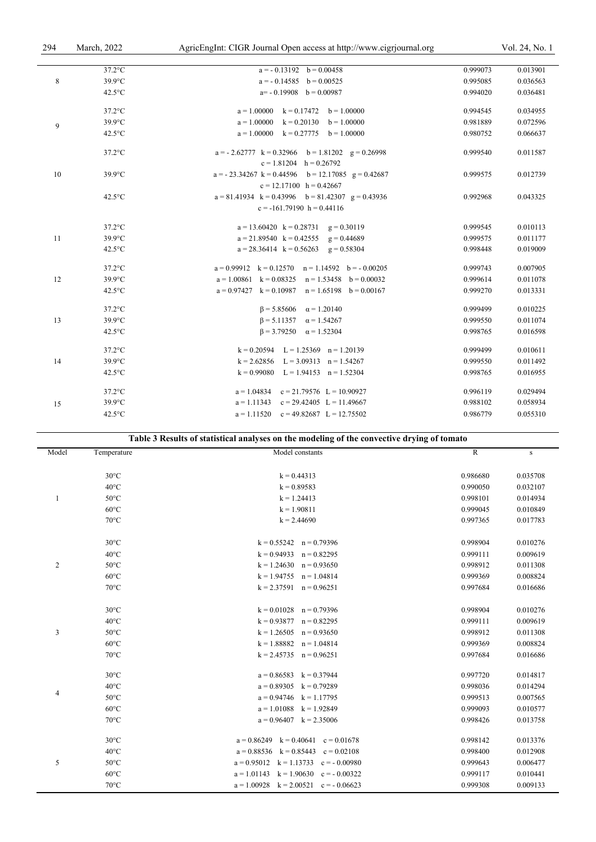| 294 | March, 2022      | AgricEngInt: CIGR Journal Open access at http://www.cigrjournal.org                   |          | Vol. 24, No. 1 |
|-----|------------------|---------------------------------------------------------------------------------------|----------|----------------|
|     |                  |                                                                                       |          |                |
|     | $37.2$ °C        | $a = -0.13192$ $b = 0.00458$                                                          | 0.999073 | 0.013901       |
| 8   | 39.9°C           | $a = -0.14585$ $b = 0.00525$                                                          | 0.995085 | 0.036563       |
|     | $42.5^{\circ}$ C | $a=-0.19908$ $b=0.00987$                                                              | 0.994020 | 0.036481       |
|     | $37.2$ °C        | $a = 1.00000$<br>$k = 0.17472$ $b = 1.00000$                                          | 0.994545 | 0.034955       |
| 9   | 39.9°C           | $a = 1.00000$<br>$k = 0.20130$ $b = 1.00000$                                          | 0.981889 | 0.072596       |
|     | $42.5^{\circ}$ C | $a = 1.00000$ $k = 0.27775$ $b = 1.00000$                                             | 0.980752 | 0.066637       |
|     | $37.2$ °C        | $a = -2.62777$ $k = 0.32966$ $b = 1.81202$ $g = 0.26998$<br>$c = 1.81204$ h = 0.26792 | 0.999540 | 0.011587       |
| 10  | 39.9°C           | $a = -23.34267$ k = 0.44596 b = 12.17085 g = 0.42687                                  | 0.999575 | 0.012739       |
|     | $42.5^{\circ}$ C | $c = 12.17100$ h = 0.42667<br>$a = 81.41934$ k = 0.43996 b = 81.42307 g = 0.43936     | 0.992968 | 0.043325       |
|     |                  | $c = -161.79190$ h = 0.44116                                                          |          |                |
|     | $37.2$ °C        | $a = 13.60420$ $k = 0.28731$ $g = 0.30119$                                            | 0.999545 | 0.010113       |
| 11  | 39.9°C           | $a = 21.89540$ k = 0.42555 g = 0.44689                                                | 0.999575 | 0.011177       |
|     | $42.5^{\circ}$ C | $a = 28.36414$ $k = 0.56263$ $g = 0.58304$                                            | 0.998448 | 0.019009       |
|     | $37.2$ °C        | $a = 0.99912$ $k = 0.12570$ $n = 1.14592$ $b = -0.00205$                              | 0.999743 | 0.007905       |
| 12  | 39.9°C           | $a = 1.00861$ $k = 0.08325$ $n = 1.53458$ $b = 0.00032$                               | 0.999614 | 0.011078       |
|     | $42.5^{\circ}$ C | $a = 0.97427$ $k = 0.10987$ $n = 1.65198$ $b = 0.00167$                               | 0.999270 | 0.013331       |
|     | $37.2$ °C        | $\beta = 5.85606$ $\alpha = 1.20140$                                                  | 0.999499 | 0.010225       |
| 13  | $39.9^{\circ}$ C | $\beta = 5.11357$ $\alpha = 1.54267$                                                  | 0.999550 | 0.011074       |
|     | $42.5^{\circ}$ C | $\beta = 3.79250$ $\alpha = 1.52304$                                                  | 0.998765 | 0.016598       |
|     | $37.2$ °C        | $k = 0.20594$ $L = 1.25369$ $n = 1.20139$                                             | 0.999499 | 0.010611       |
| 14  | $39.9^{\circ}$ C | $k = 2.62856$ $L = 3.09313$ $n = 1.54267$                                             | 0.999550 | 0.011492       |
|     | $42.5^{\circ}$ C | $k = 0.99080$ $L = 1.94153$ $n = 1.52304$                                             | 0.998765 | 0.016955       |
|     | $37.2$ °C        | $a = 1.04834$ $c = 21.79576$ $L = 10.90927$                                           | 0.996119 | 0.029494       |
| 15  | $39.9^{\circ}$ C | $a = 1.11343$ $c = 29.42405$ $L = 11.49667$                                           | 0.988102 | 0.058934       |
|     | $42.5^{\circ}$ C | $a = 1.11520$<br>$c = 49.82687$ L = 12.75502                                          | 0.986779 | 0.055310       |

| Table 3 Results of statistical analyses on the modeling of the convective drying of tomato |  |
|--------------------------------------------------------------------------------------------|--|
|--------------------------------------------------------------------------------------------|--|

| Model          | Temperature    | Model constants                               | ${\bf R}$ | ${\bf S}$ |
|----------------|----------------|-----------------------------------------------|-----------|-----------|
|                |                |                                               |           |           |
|                | $30^{\circ}$ C | $k = 0.44313$                                 | 0.986680  | 0.035708  |
|                | $40^{\circ}$ C | $k = 0.89583$                                 | 0.990050  | 0.032107  |
| $\mathbf{1}$   | $50^{\circ}$ C | $k = 1.24413$                                 | 0.998101  | 0.014934  |
|                | $60^{\circ}$ C | $k = 1.90811$                                 | 0.999045  | 0.010849  |
|                | $70^{\circ}$ C | $k = 2.44690$                                 | 0.997365  | 0.017783  |
|                | $30^{\circ}$ C | $k = 0.55242$ $n = 0.79396$                   | 0.998904  | 0.010276  |
|                | $40^{\circ}$ C | $k = 0.94933$<br>$n = 0.82295$                | 0.999111  | 0.009619  |
| $\overline{c}$ | $50^{\circ}$ C | $k = 1.24630$<br>$n = 0.93650$                | 0.998912  | 0.011308  |
|                | $60^{\circ}$ C | $k = 1.94755$ $n = 1.04814$                   | 0.999369  | 0.008824  |
|                | $70^{\circ}$ C | $k = 2.37591$ $n = 0.96251$                   | 0.997684  | 0.016686  |
|                | $30^{\circ}$ C | $k = 0.01028$ $n = 0.79396$                   | 0.998904  | 0.010276  |
|                | $40^{\circ}$ C | $k = 0.93877$<br>$n = 0.82295$                | 0.999111  | 0.009619  |
| 3              | $50^{\circ}$ C | $k = 1.26505$<br>$n = 0.93650$                | 0.998912  | 0.011308  |
|                | $60^{\circ}$ C | $k = 1.88882$ $n = 1.04814$                   | 0.999369  | 0.008824  |
|                | $70^{\circ}$ C | $k = 2.45735$ $n = 0.96251$                   | 0.997684  | 0.016686  |
|                | $30^{\circ}$ C | $a = 0.86583$ $k = 0.37944$                   | 0.997720  | 0.014817  |
|                | $40^{\circ}$ C | $a = 0.89305$<br>$k = 0.79289$                | 0.998036  | 0.014294  |
| 4              | $50^{\circ}$ C | $a = 0.94746$<br>$k = 1.17795$                | 0.999513  | 0.007565  |
|                | $60^{\circ}$ C | $a = 1.01088$ $k = 1.92849$                   | 0.999093  | 0.010577  |
|                | $70^{\circ}$ C | $a = 0.96407$ $k = 2.35006$                   | 0.998426  | 0.013758  |
|                | $30^{\circ}$ C | $a = 0.86249$ $k = 0.40641$ $c = 0.01678$     | 0.998142  | 0.013376  |
|                | $40^{\circ}$ C | $a = 0.88536$ $k = 0.85443$<br>$c = 0.02108$  | 0.998400  | 0.012908  |
| 5              | $50^{\circ}$ C | $a = 0.95012$ $k = 1.13733$<br>$c = -0.00980$ | 0.999643  | 0.006477  |
|                | $60^{\circ}$ C | $a = 1.01143$ $k = 1.90630$<br>$c = -0.00322$ | 0.999117  | 0.010441  |
|                | $70^{\circ}$ C | $a = 1.00928$ $k = 2.00521$ $c = -0.06623$    | 0.999308  | 0.009133  |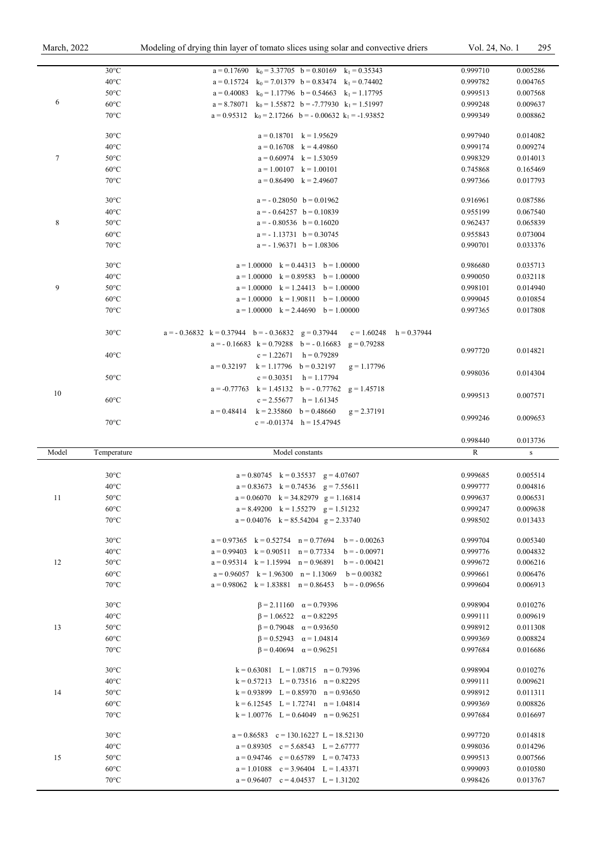|                | $30^{\circ}$ C                   | $a = 0.17690$ $k_0 = 3.37705$ $b = 0.80169$ $k_1 = 0.35343$                            | 0.999710             | 0.005286             |
|----------------|----------------------------------|----------------------------------------------------------------------------------------|----------------------|----------------------|
|                | $40^{\circ}$ C                   | $a = 0.15724$ $k_0 = 7.01379$ $b = 0.83474$ $k_1 = 0.74402$                            | 0.999782             | 0.004765             |
|                | $50^{\circ}$ C                   | $a = 0.40083$ $k_0 = 1.17796$ $b = 0.54663$ $k_1 = 1.17795$                            | 0.999513             | 0.007568             |
| 6              |                                  |                                                                                        |                      |                      |
|                | $60^{\circ}$ C                   | $a = 8.78071$ $k_0 = 1.55872$ $b = -7.77930$ $k_1 = 1.51997$                           | 0.999248             | 0.009637             |
|                | $70^{\circ}$ C                   | $a = 0.95312$ $k_0 = 2.17266$ $b = -0.00632$ $k_1 = -1.93852$                          | 0.999349             | 0.008862             |
|                | $30^{\circ}$ C                   | $a = 0.18701$ $k = 1.95629$                                                            | 0.997940             | 0.014082             |
|                | $40^{\circ}$ C                   | $a = 0.16708$ $k = 4.49860$                                                            | 0.999174             | 0.009274             |
| $\tau$         | $50^{\circ}$ C                   | $a = 0.60974$ $k = 1.53059$                                                            | 0.998329             | 0.014013             |
|                | $60^{\circ}$ C                   | $a = 1.00107$ $k = 1.00101$                                                            | 0.745868             | 0.165469             |
|                | $70^{\circ}$ C                   | $a = 0.86490$ $k = 2.49607$                                                            | 0.997366             | 0.017793             |
|                |                                  |                                                                                        |                      |                      |
|                | $30^{\circ}$ C                   | $a = -0.28050$ $b = 0.01962$                                                           | 0.916961             | 0.087586             |
|                | $40^{\circ}$ C                   | $a = -0.64257$ $b = 0.10839$                                                           | 0.955199             | 0.067540             |
| $\,$ 8 $\,$    | $50^{\circ}$ C                   | $a = -0.80536$ $b = 0.16020$                                                           | 0.962437             | 0.065839             |
|                | $60^{\circ}$ C                   | $a = -1.13731$ $b = 0.30745$                                                           | 0.955843             | 0.073004             |
|                | $70^{\circ}$ C                   | $a = -1.96371$ $b = 1.08306$                                                           | 0.990701             | 0.033376             |
|                | $30^{\circ}$ C                   | $a = 1.00000$ $k = 0.44313$ $b = 1.00000$                                              | 0.986680             | 0.035713             |
|                | $40^{\circ}$ C                   | $a = 1.00000$ $k = 0.89583$ $b = 1.00000$                                              | 0.990050             | 0.032118             |
| $\overline{9}$ | $50^{\circ}$ C                   | $a = 1.00000$ $k = 1.24413$ $b = 1.00000$                                              | 0.998101             | 0.014940             |
|                | $60^{\circ}$ C                   |                                                                                        |                      |                      |
|                | $70^{\circ}$ C                   | $a = 1.00000$ $k = 1.90811$ $b = 1.00000$<br>$a = 1.00000$ $k = 2.44690$ $b = 1.00000$ | 0.999045<br>0.997365 | 0.010854<br>0.017808 |
|                |                                  |                                                                                        |                      |                      |
|                | $30^{\circ}$ C                   | $a = -0.36832$ $k = 0.37944$ $b = -0.36832$ $g = 0.37944$<br>$c = 1.60248$ h = 0.37944 |                      |                      |
|                |                                  | $a = -0.16683$ $k = 0.79288$ $b = -0.16683$<br>$g = 0.79288$                           |                      |                      |
|                | $40^{\circ}$ C                   | $c = 1.22671$ h = 0.79289                                                              | 0.997720             | 0.014821             |
|                |                                  | $a = 0.32197$ $k = 1.17796$ $b = 0.32197$<br>$g = 1.17796$                             |                      |                      |
|                | $50^{\circ}$ C                   | $c = 0.30351$ h = 1.17794                                                              | 0.998036             | 0.014304             |
|                |                                  | $a = -0.77763$ $k = 1.45132$ $b = -0.77762$<br>$g = 1.45718$                           |                      |                      |
| 10             | $60^{\circ}$ C                   | $c = 2.55677$ h = 1.61345                                                              | 0.999513             | 0.007571             |
|                |                                  | $a = 0.48414$ $k = 2.35860$ $b = 0.48660$<br>$g = 2.37191$                             |                      |                      |
|                | $70^{\circ}$ C                   | $c = -0.01374$ h = 15.47945                                                            | 0.999246             | 0.009653             |
|                |                                  |                                                                                        |                      |                      |
|                |                                  |                                                                                        |                      |                      |
|                |                                  |                                                                                        | 0.998440             | 0.013736             |
| Model          | Temperature                      | Model constants                                                                        | $\mathbb{R}$         | ${\bf S}$            |
|                | $30^{\circ}$ C                   | $a = 0.80745$ $k = 0.35537$ $g = 4.07607$                                              | 0.999685             | 0.005514             |
|                | $40^{\circ}$ C                   | $a = 0.83673$ $k = 0.74536$ $g = 7.55611$                                              | 0.999777             | 0.004816             |
| 11             | $50^{\circ}$ C                   | $a = 0.06070$ $k = 34.82979$ $g = 1.16814$                                             | 0.999637             | 0.006531             |
|                | $60^{\circ}\mathrm{C}$           | $a = 8.49200$ $k = 1.55279$ $g = 1.51232$                                              | 0.999247             | 0.009638             |
|                | $70^{\circ}$ C                   | $a = 0.04076$ $k = 85.54204$ $g = 2.33740$                                             | 0.998502             | 0.013433             |
|                |                                  |                                                                                        |                      |                      |
|                | $30^{\circ}$ C                   | $a = 0.97365$ $k = 0.52754$ $n = 0.77694$ $b = -0.00263$                               | 0.999704             | 0.005340             |
|                | $40^{\circ}$ C                   | $a = 0.99403$ $k = 0.90511$ $n = 0.77334$<br>$b = -0.00971$                            | 0.999776             | 0.004832             |
| 12             | $50^{\circ}$ C                   | $a = 0.95314$ $k = 1.15994$ $n = 0.96891$<br>$b = -0.00421$                            | 0.999672             | 0.006216             |
|                | $60^{\circ}$ C                   | $a = 0.96057$ $k = 1.96300$ $n = 1.13069$<br>$b = 0.00382$                             | 0.999661             | 0.006476             |
|                | $70^{\circ}$ C                   | $a = 0.98062$ $k = 1.83881$ $n = 0.86453$<br>$b = -0.09656$                            | 0.999604             | 0.006913             |
|                | $30^{\circ}$ C                   | $\beta = 2.11160$ $\alpha = 0.79396$                                                   | 0.998904             | 0.010276             |
|                |                                  |                                                                                        |                      |                      |
|                | $40^{\circ}$ C                   | $\beta = 1.06522$ $\alpha = 0.82295$                                                   | 0.999111             | 0.009619             |
| 13             | $50^{\circ}$ C                   | $\beta = 0.79048$ $\alpha = 0.93650$                                                   | 0.998912             | 0.011308             |
|                | $60^{\circ}$ C                   | $\beta = 0.52943$ $\alpha = 1.04814$                                                   | 0.999369             | 0.008824             |
|                | $70^{\circ}$ C                   | $\beta = 0.40694$ $\alpha = 0.96251$                                                   | 0.997684             | 0.016686             |
|                | $30^{\circ}$ C                   | $k = 0.63081$ $L = 1.08715$ $n = 0.79396$                                              | 0.998904             | 0.010276             |
|                | $40^{\circ}$ C                   | $k = 0.57213$ $L = 0.73516$ $n = 0.82295$                                              | 0.999111             | 0.009621             |
| 14             | $50^{\circ}$ C                   | $k = 0.93899$ $L = 0.85970$ $n = 0.93650$                                              | 0.998912             | 0.011311             |
|                | $60^{\circ}$ C                   | $k = 6.12545$ $L = 1.72741$ $n = 1.04814$                                              | 0.999369             | 0.008826             |
|                | $70^{\circ}$ C                   | $k = 1.00776$ $L = 0.64049$ $n = 0.96251$                                              | 0.997684             | 0.016697             |
|                |                                  |                                                                                        |                      |                      |
|                | $30^{\circ}$ C                   | $a = 0.86583$ $c = 130.16227$ L = 18.52130                                             | 0.997720             | 0.014818             |
|                | $40^{\circ}$ C                   | $a = 0.89305$ $c = 5.68543$ $L = 2.67777$                                              | 0.998036             | 0.014296             |
| 15             | $50^{\circ}$ C                   | $a = 0.94746$ $c = 0.65789$ $L = 0.74733$                                              | 0.999513             | 0.007566             |
|                | $60^{\circ}$ C<br>$70^{\circ}$ C | $a = 1.01088$ $c = 3.96404$ $L = 1.43371$<br>$a = 0.96407$ $c = 4.04537$ $L = 1.31202$ | 0.999093<br>0.998426 | 0.010580<br>0.013767 |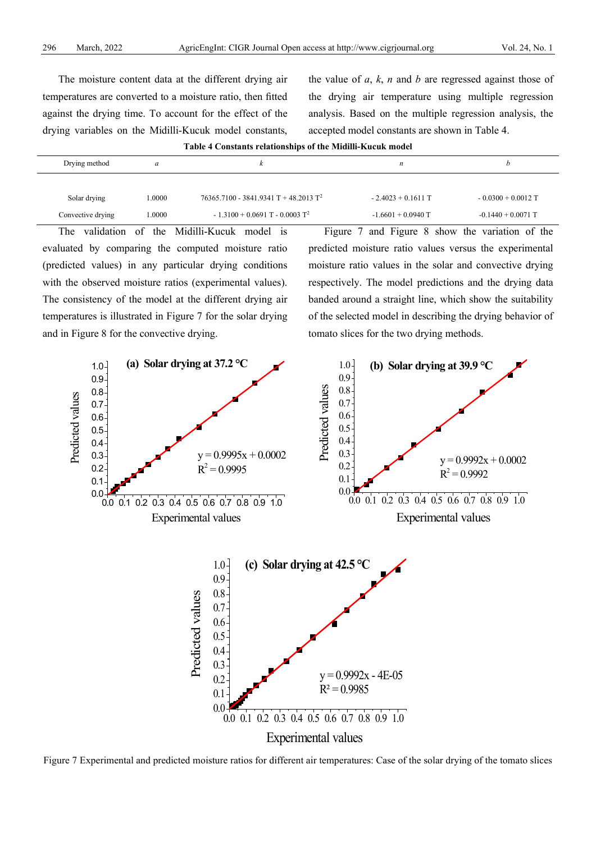The moisture content data at the different drying air temperatures are converted to a moisture ratio, then fitted against the drying time. To account for the effect of the drying variables on the Midilli-Kucuk model constants,

the value of *a*, *k*, *n* and *b* are regressed against those of the drying air temperature using multiple regression analysis. Based on the multiple regression analysis, the accepted model constants are shown in Table 4.

| Drying method     | a      |                                                | n                    |                      |
|-------------------|--------|------------------------------------------------|----------------------|----------------------|
|                   |        |                                                |                      |                      |
| Solar drying      | 0000.1 | $76365.7100 - 3841.9341 T + 48.2013 T^2$       | $-2.4023 + 0.1611$ T | $-0.0300 + 0.0012$ T |
| Convective drying | .0000  | $-1.3100 + 0.0691$ T $- 0.0003$ T <sup>2</sup> | $-1.6601 + 0.0940$ T | $-0.1440 + 0.0071$ T |

**Table 4 Constants relationships of the Midilli-Kucuk model**

The validation of the Midilli-Kucuk model is evaluated by comparing the computed moisture ratio (predicted values) in any particular drying conditions with the observed moisture ratios (experimental values). The consistency of the model at the different drying air temperatures is illustrated in Figure 7 for the solar drying and in Figure 8 for the convective drying.

Figure 7 and Figure 8 show the variation of the predicted moisture ratio values versus the experimental moisture ratio values in the solar and convective drying respectively. The model predictions and the drying data banded around a straight line, which show the suitability of the selected model in describing the drying behavior of tomato slices for the two drying methods.



Figure 7 Experimental and predicted moisture ratios for different air temperatures: Case of the solar drying of the tomato slices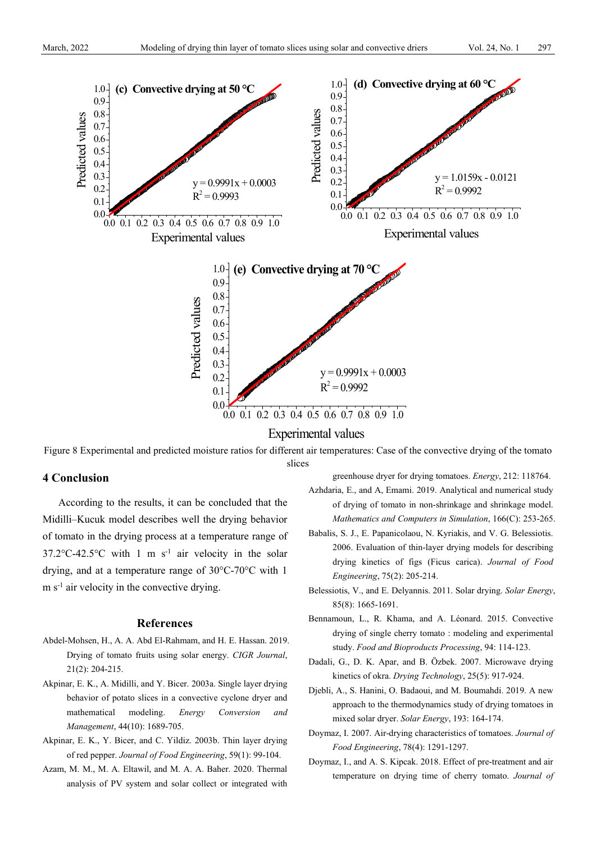

Experimental values

Figure 8 Experimental and predicted moisture ratios for different air temperatures: Case of the convective drying of the tomato slices

## **4 Conclusion**

According to the results, it can be concluded that the Midilli–Kucuk model describes well the drying behavior of tomato in the drying process at a temperature range of  $37.2^{\circ}$ C-42.5°C with 1 m s<sup>-1</sup> air velocity in the solar drying, and at a temperature range of 30°C-70°C with 1  $m s<sup>-1</sup>$  air velocity in the convective drying.

#### **References**

- Abdel-Mohsen, H., A. A. Abd El-Rahmam, and H. E. Hassan. 2019. Drying of tomato fruits using solar energy. *CIGR Journal*, 21(2): 204-215.
- Akpinar, E. K., A. Midilli, and Y. Bicer. 2003a. Single layer drying behavior of potato slices in a convective cyclone dryer and mathematical modeling. *Energy Conversion and Management*, 44(10): 1689-705.
- Akpinar, E. K., Y. Bicer, and C. Yildiz. 2003b. Thin layer drying of red pepper. *Journal of Food Engineering*, 59(1): 99-104.
- Azam, M. M., M. A. Eltawil, and M. A. A. Baher. 2020. Thermal analysis of PV system and solar collect or integrated with

greenhouse dryer for drying tomatoes. *Energy*, 212: 118764.

- Azhdaria, E., and A, Emami. 2019. Analytical and numerical study of drying of tomato in non-shrinkage and shrinkage model. *Mathematics and Computers in Simulation*, 166(C): 253-265.
- Babalis, S. J., E. Papanicolaou, N. Kyriakis, and V. G. Belessiotis. 2006. Evaluation of thin-layer drying models for describing drying kinetics of figs (Ficus carica). *Journal of Food Engineering*, 75(2): 205-214.
- Belessiotis, V., and E. Delyannis. 2011. Solar drying. *Solar Energy*, 85(8): 1665-1691.
- Bennamoun, L., R. Khama, and A. Léonard. 2015. Convective drying of single cherry tomato : modeling and experimental study. *Food and Bioproducts Processing*, 94: 114-123.
- Dadali, G., D. K. Apar, and B. Özbek. 2007. Microwave drying kinetics of okra. *Drying Technology*, 25(5): 917-924.
- Djebli, A., S. Hanini, O. Badaoui, and M. Boumahdi. 2019. A new approach to the thermodynamics study of drying tomatoes in mixed solar dryer. *Solar Energy*, 193: 164-174.
- Doymaz, I. 2007. Air-drying characteristics of tomatoes. *Journal of Food Engineering*, 78(4): 1291-1297.
- Doymaz, I., and A. S. Kipcak. 2018. Effect of pre-treatment and air temperature on drying time of cherry tomato. *Journal of*